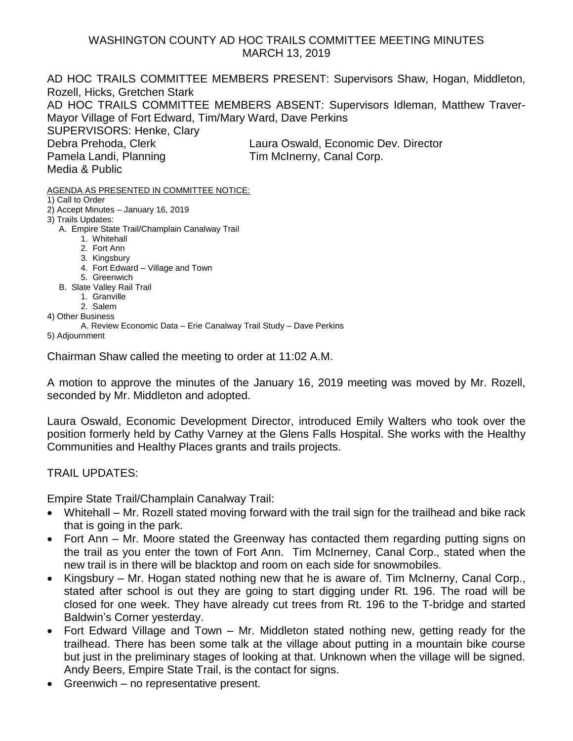## WASHINGTON COUNTY AD HOC TRAILS COMMITTEE MEETING MINUTES MARCH 13, 2019

AD HOC TRAILS COMMITTEE MEMBERS PRESENT: Supervisors Shaw, Hogan, Middleton, Rozell, Hicks, Gretchen Stark AD HOC TRAILS COMMITTEE MEMBERS ABSENT: Supervisors Idleman, Matthew Traver-Mayor Village of Fort Edward, Tim/Mary Ward, Dave Perkins SUPERVISORS: Henke, Clary Debra Prehoda, Clerk Laura Oswald, Economic Dev. Director Pamela Landi, Planning Tim McInerny, Canal Corp. Media & Public

AGENDA AS PRESENTED IN COMMITTEE NOTICE:

- 1) Call to Order
- 2) Accept Minutes January 16, 2019
- 3) Trails Updates:
	- A. Empire State Trail/Champlain Canalway Trail
		- 1. Whitehall
		- 2. Fort Ann
		- 3. Kingsbury
		- 4. Fort Edward Village and Town
		- 5. Greenwich
	- B. Slate Valley Rail Trail
		- 1. Granville 2. Salem
- 4) Other Business
	- A. Review Economic Data Erie Canalway Trail Study Dave Perkins
- 5) Adjournment

Chairman Shaw called the meeting to order at 11:02 A.M.

A motion to approve the minutes of the January 16, 2019 meeting was moved by Mr. Rozell, seconded by Mr. Middleton and adopted.

Laura Oswald, Economic Development Director, introduced Emily Walters who took over the position formerly held by Cathy Varney at the Glens Falls Hospital. She works with the Healthy Communities and Healthy Places grants and trails projects.

TRAIL UPDATES:

Empire State Trail/Champlain Canalway Trail:

- Whitehall Mr. Rozell stated moving forward with the trail sign for the trailhead and bike rack that is going in the park.
- Fort Ann Mr. Moore stated the Greenway has contacted them regarding putting signs on the trail as you enter the town of Fort Ann. Tim McInerney, Canal Corp., stated when the new trail is in there will be blacktop and room on each side for snowmobiles.
- Kingsbury Mr. Hogan stated nothing new that he is aware of. Tim McInerny, Canal Corp., stated after school is out they are going to start digging under Rt. 196. The road will be closed for one week. They have already cut trees from Rt. 196 to the T-bridge and started Baldwin's Corner yesterday.
- Fort Edward Village and Town Mr. Middleton stated nothing new, getting ready for the trailhead. There has been some talk at the village about putting in a mountain bike course but just in the preliminary stages of looking at that. Unknown when the village will be signed. Andy Beers, Empire State Trail, is the contact for signs.
- Greenwich no representative present.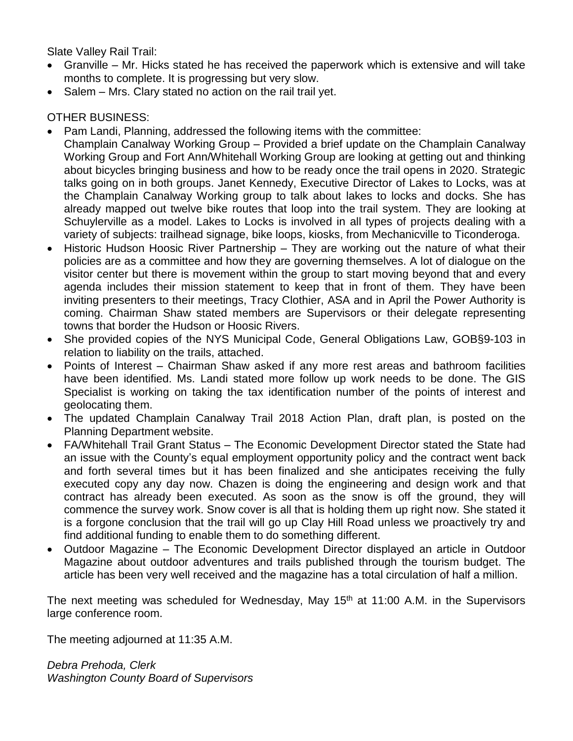Slate Valley Rail Trail:

- Granville Mr. Hicks stated he has received the paperwork which is extensive and will take months to complete. It is progressing but very slow.
- Salem Mrs. Clary stated no action on the rail trail yet.

## OTHER BUSINESS:

- Pam Landi, Planning, addressed the following items with the committee:
- Champlain Canalway Working Group Provided a brief update on the Champlain Canalway Working Group and Fort Ann/Whitehall Working Group are looking at getting out and thinking about bicycles bringing business and how to be ready once the trail opens in 2020. Strategic talks going on in both groups. Janet Kennedy, Executive Director of Lakes to Locks, was at the Champlain Canalway Working group to talk about lakes to locks and docks. She has already mapped out twelve bike routes that loop into the trail system. They are looking at Schuylerville as a model. Lakes to Locks is involved in all types of projects dealing with a variety of subjects: trailhead signage, bike loops, kiosks, from Mechanicville to Ticonderoga.
- Historic Hudson Hoosic River Partnership They are working out the nature of what their policies are as a committee and how they are governing themselves. A lot of dialogue on the visitor center but there is movement within the group to start moving beyond that and every agenda includes their mission statement to keep that in front of them. They have been inviting presenters to their meetings, Tracy Clothier, ASA and in April the Power Authority is coming. Chairman Shaw stated members are Supervisors or their delegate representing towns that border the Hudson or Hoosic Rivers.
- She provided copies of the NYS Municipal Code, General Obligations Law, GOB§9-103 in relation to liability on the trails, attached.
- Points of Interest Chairman Shaw asked if any more rest areas and bathroom facilities have been identified. Ms. Landi stated more follow up work needs to be done. The GIS Specialist is working on taking the tax identification number of the points of interest and geolocating them.
- The updated Champlain Canalway Trail 2018 Action Plan, draft plan, is posted on the Planning Department website.
- FA/Whitehall Trail Grant Status The Economic Development Director stated the State had an issue with the County's equal employment opportunity policy and the contract went back and forth several times but it has been finalized and she anticipates receiving the fully executed copy any day now. Chazen is doing the engineering and design work and that contract has already been executed. As soon as the snow is off the ground, they will commence the survey work. Snow cover is all that is holding them up right now. She stated it is a forgone conclusion that the trail will go up Clay Hill Road unless we proactively try and find additional funding to enable them to do something different.
- Outdoor Magazine The Economic Development Director displayed an article in Outdoor Magazine about outdoor adventures and trails published through the tourism budget. The article has been very well received and the magazine has a total circulation of half a million.

The next meeting was scheduled for Wednesday, May 15<sup>th</sup> at 11:00 A.M. in the Supervisors large conference room.

The meeting adjourned at 11:35 A.M.

*Debra Prehoda, Clerk Washington County Board of Supervisors*